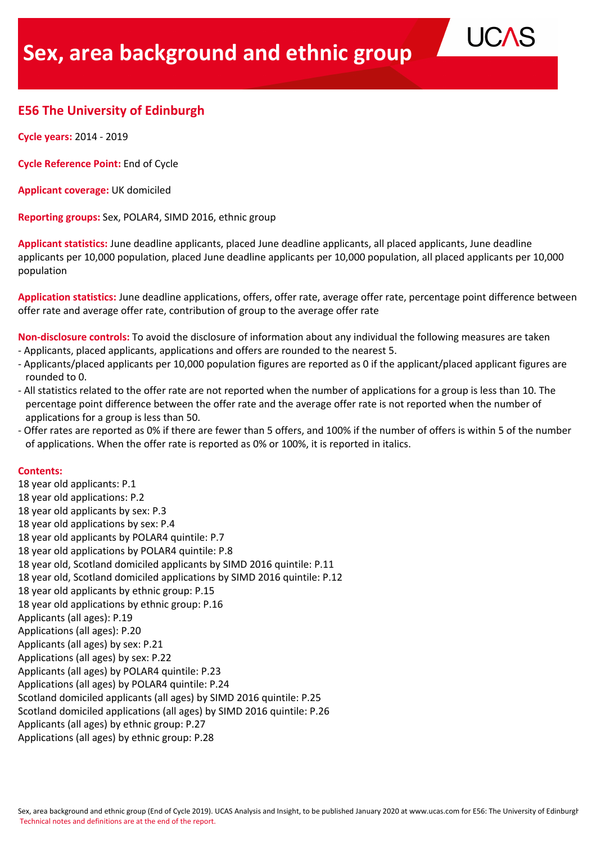# **E56 The University of Edinburgh**

**Cycle years:** 2014 - 2019

**Cycle Reference Point:** End of Cycle

**Applicant coverage:** UK domiciled

**Reporting groups:** Sex, POLAR4, SIMD 2016, ethnic group

**Applicant statistics:** June deadline applicants, placed June deadline applicants, all placed applicants, June deadline applicants per 10,000 population, placed June deadline applicants per 10,000 population, all placed applicants per 10,000 population

**UC** 

**Application statistics:** June deadline applications, offers, offer rate, average offer rate, percentage point difference between offer rate and average offer rate, contribution of group to the average offer rate

**Non-disclosure controls:** To avoid the disclosure of information about any individual the following measures are taken - Applicants, placed applicants, applications and offers are rounded to the nearest 5.

- Applicants/placed applicants per 10,000 population figures are reported as 0 if the applicant/placed applicant figures are rounded to 0.
- All statistics related to the offer rate are not reported when the number of applications for a group is less than 10. The percentage point difference between the offer rate and the average offer rate is not reported when the number of applications for a group is less than 50.
- Offer rates are reported as 0% if there are fewer than 5 offers, and 100% if the number of offers is within 5 of the number of applications. When the offer rate is reported as 0% or 100%, it is reported in italics.

## **Contents:**

18 year old applicants: P.1 18 year old applications: P.2 18 year old applicants by sex: P.3 18 year old applications by sex: P.4 18 year old applicants by POLAR4 quintile: P.7 18 year old applications by POLAR4 quintile: P.8 18 year old, Scotland domiciled applicants by SIMD 2016 quintile: P.11 18 year old, Scotland domiciled applications by SIMD 2016 quintile: P.12 18 year old applicants by ethnic group: P.15 18 year old applications by ethnic group: P.16 Applicants (all ages): P.19 Applications (all ages): P.20 Applicants (all ages) by sex: P.21 Applications (all ages) by sex: P.22 Applicants (all ages) by POLAR4 quintile: P.23 Applications (all ages) by POLAR4 quintile: P.24 Scotland domiciled applicants (all ages) by SIMD 2016 quintile: P.25 Scotland domiciled applications (all ages) by SIMD 2016 quintile: P.26 Applicants (all ages) by ethnic group: P.27 Applications (all ages) by ethnic group: P.28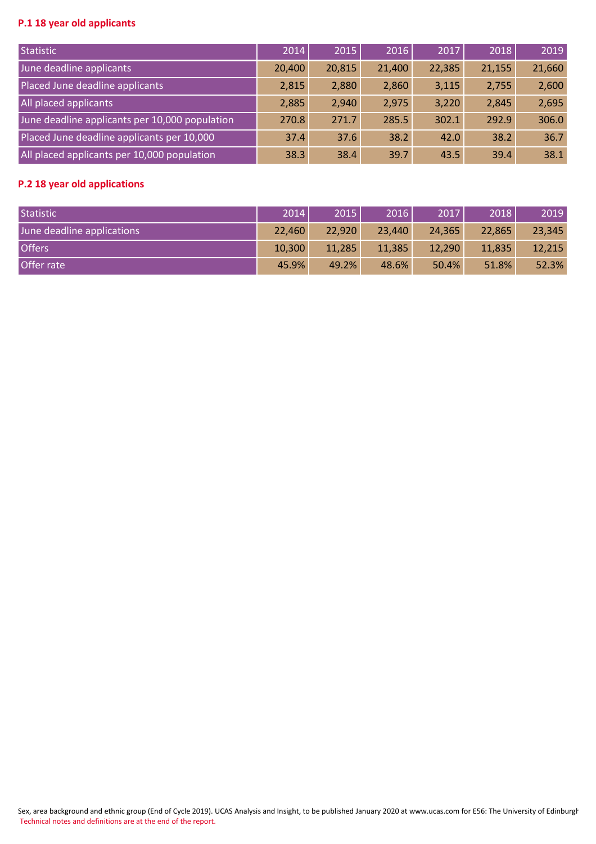# **P.1 18 year old applicants**

| Statistic                                      | 2014   | 2015   | 2016   | 2017   | 2018   | 2019   |
|------------------------------------------------|--------|--------|--------|--------|--------|--------|
| June deadline applicants                       | 20,400 | 20,815 | 21,400 | 22,385 | 21,155 | 21,660 |
| Placed June deadline applicants                | 2,815  | 2,880  | 2,860  | 3,115  | 2,755  | 2,600  |
| All placed applicants                          | 2,885  | 2,940  | 2,975  | 3,220  | 2,845  | 2,695  |
| June deadline applicants per 10,000 population | 270.8  | 271.7  | 285.5  | 302.1  | 292.9  | 306.0  |
| Placed June deadline applicants per 10,000     | 37.4   | 37.6   | 38.2   | 42.0   | 38.2   | 36.7   |
| All placed applicants per 10,000 population    | 38.3   | 38.4   | 39.7   | 43.5   | 39.4   | 38.1   |

## **P.2 18 year old applications**

| Statistic                  | 2014   | 2015   | 2016   | 2017   | 2018   | 2019   |
|----------------------------|--------|--------|--------|--------|--------|--------|
| June deadline applications | 22,460 | 22,920 | 23,440 | 24,365 | 22,865 | 23,345 |
| <b>Offers</b>              | 10,300 | 11,285 | 11,385 | 12,290 | 11,835 | 12,215 |
| Offer rate                 | 45.9%  | 49.2%  | 48.6%  | 50.4%  | 51.8%  | 52.3%  |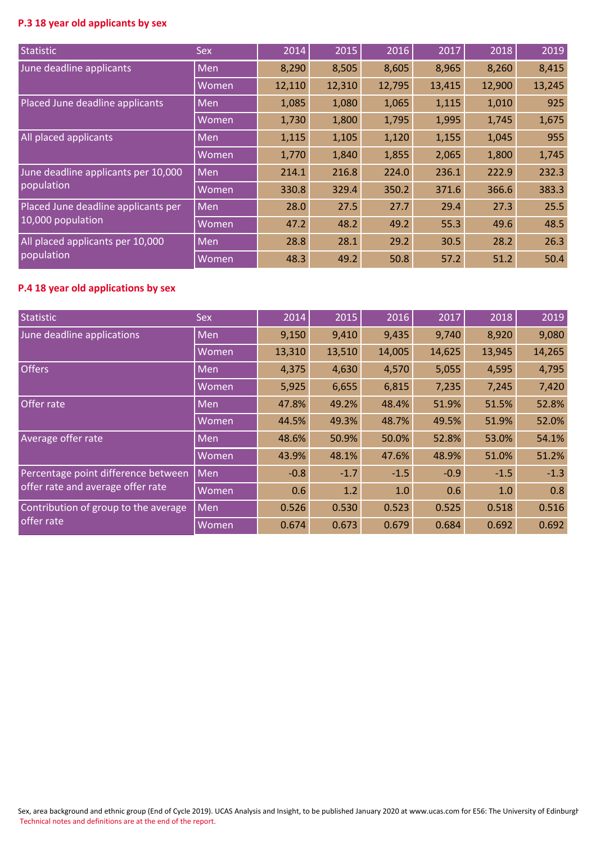# **P.3 18 year old applicants by sex**

| Statistic                           | <b>Sex</b> | 2014   | 2015   | 2016   | 2017   | 2018   | 2019   |
|-------------------------------------|------------|--------|--------|--------|--------|--------|--------|
| June deadline applicants            | Men        | 8,290  | 8,505  | 8,605  | 8,965  | 8,260  | 8,415  |
|                                     | Women      | 12,110 | 12,310 | 12,795 | 13,415 | 12,900 | 13,245 |
| Placed June deadline applicants     | Men        | 1,085  | 1,080  | 1,065  | 1,115  | 1,010  | 925    |
|                                     | Women      | 1,730  | 1,800  | 1,795  | 1,995  | 1,745  | 1,675  |
| All placed applicants               | Men        | 1,115  | 1,105  | 1,120  | 1,155  | 1,045  | 955    |
|                                     | Women      | 1,770  | 1,840  | 1,855  | 2,065  | 1,800  | 1,745  |
| June deadline applicants per 10,000 | <b>Men</b> | 214.1  | 216.8  | 224.0  | 236.1  | 222.9  | 232.3  |
| population                          | Women      | 330.8  | 329.4  | 350.2  | 371.6  | 366.6  | 383.3  |
| Placed June deadline applicants per | Men        | 28.0   | 27.5   | 27.7   | 29.4   | 27.3   | 25.5   |
| 10,000 population                   | Women      | 47.2   | 48.2   | 49.2   | 55.3   | 49.6   | 48.5   |
| All placed applicants per 10,000    | Men        | 28.8   | 28.1   | 29.2   | 30.5   | 28.2   | 26.3   |
| population                          | Women      | 48.3   | 49.2   | 50.8   | 57.2   | 51.2   | 50.4   |

## **P.4 18 year old applications by sex**

| Statistic                            | <b>Sex</b> | 2014   | 2015   | 2016   | 2017   | 2018   | 2019   |
|--------------------------------------|------------|--------|--------|--------|--------|--------|--------|
| June deadline applications           | <b>Men</b> | 9,150  | 9,410  | 9,435  | 9,740  | 8,920  | 9,080  |
|                                      | Women      | 13,310 | 13,510 | 14,005 | 14,625 | 13,945 | 14,265 |
| Offers <sup>'</sup>                  | <b>Men</b> | 4,375  | 4,630  | 4,570  | 5,055  | 4,595  | 4,795  |
|                                      | Women      | 5,925  | 6,655  | 6,815  | 7,235  | 7,245  | 7,420  |
| Offer rate                           | <b>Men</b> | 47.8%  | 49.2%  | 48.4%  | 51.9%  | 51.5%  | 52.8%  |
|                                      | Women      | 44.5%  | 49.3%  | 48.7%  | 49.5%  | 51.9%  | 52.0%  |
| Average offer rate                   | <b>Men</b> | 48.6%  | 50.9%  | 50.0%  | 52.8%  | 53.0%  | 54.1%  |
|                                      | Women      | 43.9%  | 48.1%  | 47.6%  | 48.9%  | 51.0%  | 51.2%  |
| Percentage point difference between  | Men        | $-0.8$ | $-1.7$ | $-1.5$ | $-0.9$ | $-1.5$ | $-1.3$ |
| offer rate and average offer rate    | Women      | 0.6    | 1.2    | 1.0    | 0.6    | 1.0    | 0.8    |
| Contribution of group to the average | <b>Men</b> | 0.526  | 0.530  | 0.523  | 0.525  | 0.518  | 0.516  |
| offer rate                           | Women      | 0.674  | 0.673  | 0.679  | 0.684  | 0.692  | 0.692  |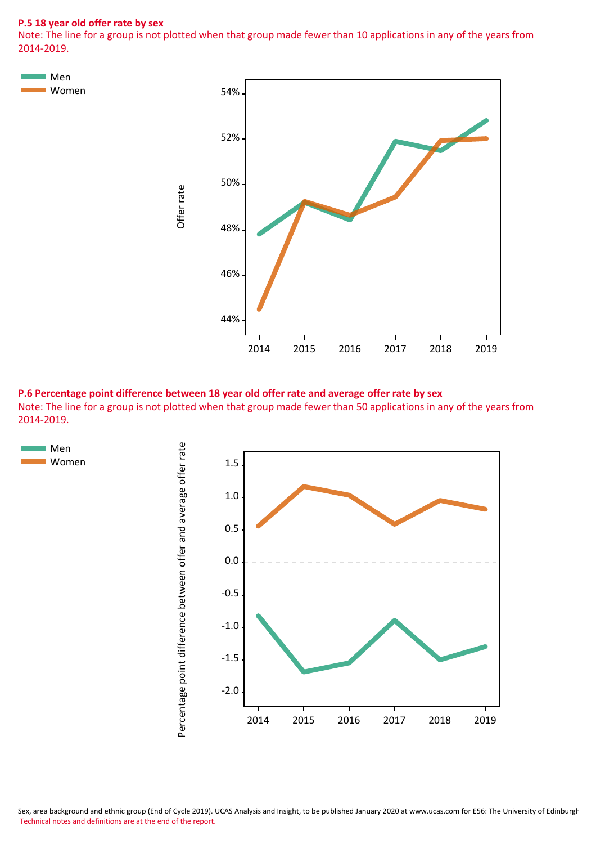#### **P.5 18 year old offer rate by sex**

Note: The line for a group is not plotted when that group made fewer than 10 applications in any of the years from 2014-2019.



**P.6 Percentage point difference between 18 year old offer rate and average offer rate by sex** Note: The line for a group is not plotted when that group made fewer than 50 applications in any of the years from 2014-2019.



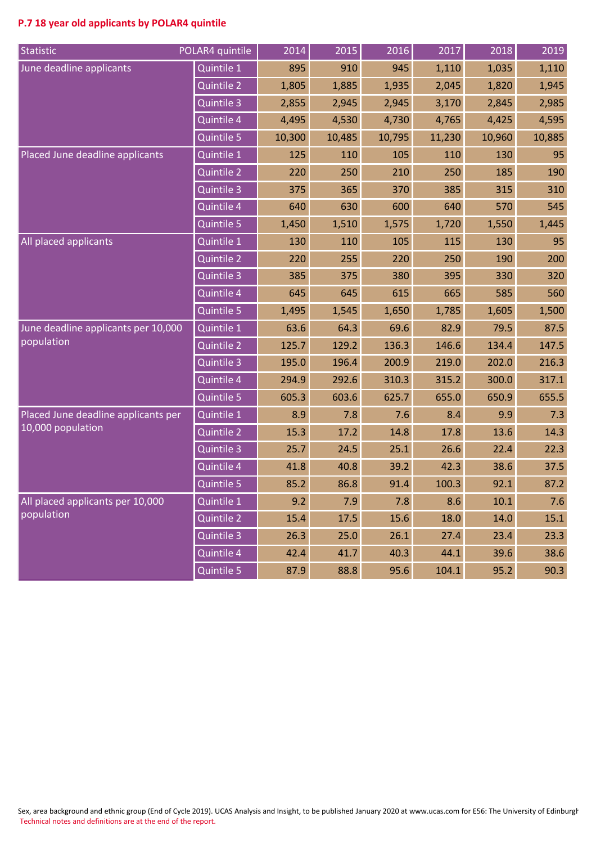# **P.7 18 year old applicants by POLAR4 quintile**

| Statistic                           | POLAR4 quintile   | 2014   | 2015   | 2016   | 2017   | 2018   | 2019   |
|-------------------------------------|-------------------|--------|--------|--------|--------|--------|--------|
| June deadline applicants            | Quintile 1        | 895    | 910    | 945    | 1,110  | 1,035  | 1,110  |
|                                     | <b>Quintile 2</b> | 1,805  | 1,885  | 1,935  | 2,045  | 1,820  | 1,945  |
|                                     | Quintile 3        | 2,855  | 2,945  | 2,945  | 3,170  | 2,845  | 2,985  |
|                                     | Quintile 4        | 4,495  | 4,530  | 4,730  | 4,765  | 4,425  | 4,595  |
|                                     | Quintile 5        | 10,300 | 10,485 | 10,795 | 11,230 | 10,960 | 10,885 |
| Placed June deadline applicants     | Quintile 1        | 125    | 110    | 105    | 110    | 130    | 95     |
|                                     | Quintile 2        | 220    | 250    | 210    | 250    | 185    | 190    |
|                                     | Quintile 3        | 375    | 365    | 370    | 385    | 315    | 310    |
|                                     | Quintile 4        | 640    | 630    | 600    | 640    | 570    | 545    |
|                                     | Quintile 5        | 1,450  | 1,510  | 1,575  | 1,720  | 1,550  | 1,445  |
| All placed applicants               | Quintile 1        | 130    | 110    | 105    | 115    | 130    | 95     |
|                                     | <b>Quintile 2</b> | 220    | 255    | 220    | 250    | 190    | 200    |
|                                     | Quintile 3        | 385    | 375    | 380    | 395    | 330    | 320    |
|                                     | Quintile 4        | 645    | 645    | 615    | 665    | 585    | 560    |
|                                     | Quintile 5        | 1,495  | 1,545  | 1,650  | 1,785  | 1,605  | 1,500  |
| June deadline applicants per 10,000 | Quintile 1        | 63.6   | 64.3   | 69.6   | 82.9   | 79.5   | 87.5   |
| population                          | Quintile 2        | 125.7  | 129.2  | 136.3  | 146.6  | 134.4  | 147.5  |
|                                     | Quintile 3        | 195.0  | 196.4  | 200.9  | 219.0  | 202.0  | 216.3  |
|                                     | Quintile 4        | 294.9  | 292.6  | 310.3  | 315.2  | 300.0  | 317.1  |
|                                     | Quintile 5        | 605.3  | 603.6  | 625.7  | 655.0  | 650.9  | 655.5  |
| Placed June deadline applicants per | Quintile 1        | 8.9    | 7.8    | 7.6    | 8.4    | 9.9    | 7.3    |
| 10,000 population                   | <b>Quintile 2</b> | 15.3   | 17.2   | 14.8   | 17.8   | 13.6   | 14.3   |
|                                     | Quintile 3        | 25.7   | 24.5   | 25.1   | 26.6   | 22.4   | 22.3   |
|                                     | Quintile 4        | 41.8   | 40.8   | 39.2   | 42.3   | 38.6   | 37.5   |
|                                     | Quintile 5        | 85.2   | 86.8   | 91.4   | 100.3  | 92.1   | 87.2   |
| All placed applicants per 10,000    | Quintile 1        | 9.2    | 7.9    | 7.8    | 8.6    | 10.1   | 7.6    |
| population                          | Quintile 2        | 15.4   | 17.5   | 15.6   | 18.0   | 14.0   | 15.1   |
|                                     | Quintile 3        | 26.3   | 25.0   | 26.1   | 27.4   | 23.4   | 23.3   |
|                                     | Quintile 4        | 42.4   | 41.7   | 40.3   | 44.1   | 39.6   | 38.6   |
|                                     | Quintile 5        | 87.9   | 88.8   | 95.6   | 104.1  | 95.2   | 90.3   |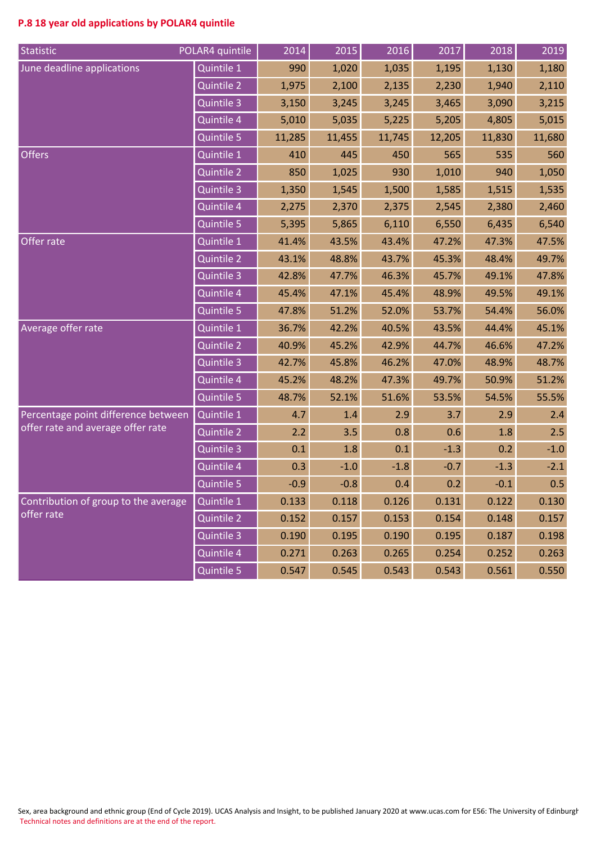# **P.8 18 year old applications by POLAR4 quintile**

| Statistic                            | POLAR4 quintile       | 2014   | 2015   | 2016   | 2017   | 2018   | 2019   |
|--------------------------------------|-----------------------|--------|--------|--------|--------|--------|--------|
| June deadline applications           | Quintile 1            | 990    | 1,020  | 1,035  | 1,195  | 1,130  | 1,180  |
|                                      | <b>Quintile 2</b>     | 1,975  | 2,100  | 2,135  | 2,230  | 1,940  | 2,110  |
|                                      | Quintile 3            | 3,150  | 3,245  | 3,245  | 3,465  | 3,090  | 3,215  |
|                                      | Quintile 4            | 5,010  | 5,035  | 5,225  | 5,205  | 4,805  | 5,015  |
|                                      | Quintile 5            | 11,285 | 11,455 | 11,745 | 12,205 | 11,830 | 11,680 |
| <b>Offers</b>                        | Quintile 1            | 410    | 445    | 450    | 565    | 535    | 560    |
|                                      | Quintile 2            | 850    | 1,025  | 930    | 1,010  | 940    | 1,050  |
|                                      | Quintile 3            | 1,350  | 1,545  | 1,500  | 1,585  | 1,515  | 1,535  |
|                                      | Quintile 4            | 2,275  | 2,370  | 2,375  | 2,545  | 2,380  | 2,460  |
|                                      | Quintile 5            | 5,395  | 5,865  | 6,110  | 6,550  | 6,435  | 6,540  |
| Offer rate                           | Quintile 1            | 41.4%  | 43.5%  | 43.4%  | 47.2%  | 47.3%  | 47.5%  |
|                                      | Quintile 2            | 43.1%  | 48.8%  | 43.7%  | 45.3%  | 48.4%  | 49.7%  |
|                                      | Quintile 3            | 42.8%  | 47.7%  | 46.3%  | 45.7%  | 49.1%  | 47.8%  |
|                                      | Quintile 4            | 45.4%  | 47.1%  | 45.4%  | 48.9%  | 49.5%  | 49.1%  |
|                                      | Quintile 5            | 47.8%  | 51.2%  | 52.0%  | 53.7%  | 54.4%  | 56.0%  |
| Average offer rate                   | Quintile 1            | 36.7%  | 42.2%  | 40.5%  | 43.5%  | 44.4%  | 45.1%  |
|                                      | Quintile 2            | 40.9%  | 45.2%  | 42.9%  | 44.7%  | 46.6%  | 47.2%  |
|                                      | Quintile 3            | 42.7%  | 45.8%  | 46.2%  | 47.0%  | 48.9%  | 48.7%  |
|                                      | Quintile 4            | 45.2%  | 48.2%  | 47.3%  | 49.7%  | 50.9%  | 51.2%  |
|                                      | Quintile <sub>5</sub> | 48.7%  | 52.1%  | 51.6%  | 53.5%  | 54.5%  | 55.5%  |
| Percentage point difference between  | Quintile 1            | 4.7    | 1.4    | 2.9    | 3.7    | 2.9    | 2.4    |
| offer rate and average offer rate    | Quintile 2            | 2.2    | 3.5    | 0.8    | 0.6    | 1.8    | 2.5    |
|                                      | Quintile 3            | 0.1    | 1.8    | 0.1    | $-1.3$ | 0.2    | $-1.0$ |
|                                      | Quintile 4            | 0.3    | $-1.0$ | $-1.8$ | $-0.7$ | $-1.3$ | $-2.1$ |
|                                      | Quintile 5            | $-0.9$ | $-0.8$ | 0.4    | 0.2    | $-0.1$ | 0.5    |
| Contribution of group to the average | Quintile 1            | 0.133  | 0.118  | 0.126  | 0.131  | 0.122  | 0.130  |
| offer rate                           | Quintile 2            | 0.152  | 0.157  | 0.153  | 0.154  | 0.148  | 0.157  |
|                                      | Quintile 3            | 0.190  | 0.195  | 0.190  | 0.195  | 0.187  | 0.198  |
|                                      | Quintile 4            | 0.271  | 0.263  | 0.265  | 0.254  | 0.252  | 0.263  |
|                                      | Quintile 5            | 0.547  | 0.545  | 0.543  | 0.543  | 0.561  | 0.550  |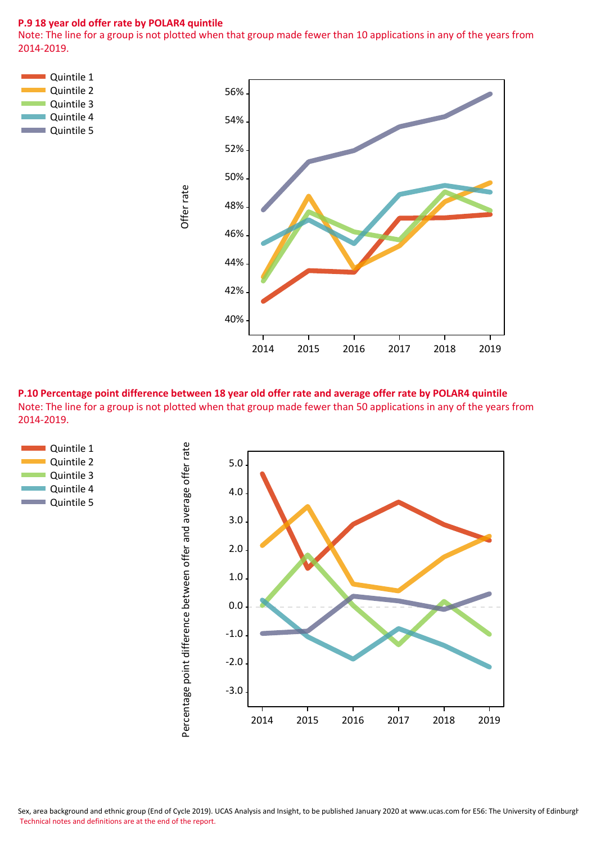## **P.9 18 year old offer rate by POLAR4 quintile**

Note: The line for a group is not plotted when that group made fewer than 10 applications in any of the years from 2014-2019.



**P.10 Percentage point difference between 18 year old offer rate and average offer rate by POLAR4 quintile** Note: The line for a group is not plotted when that group made fewer than 50 applications in any of the years from 2014-2019.



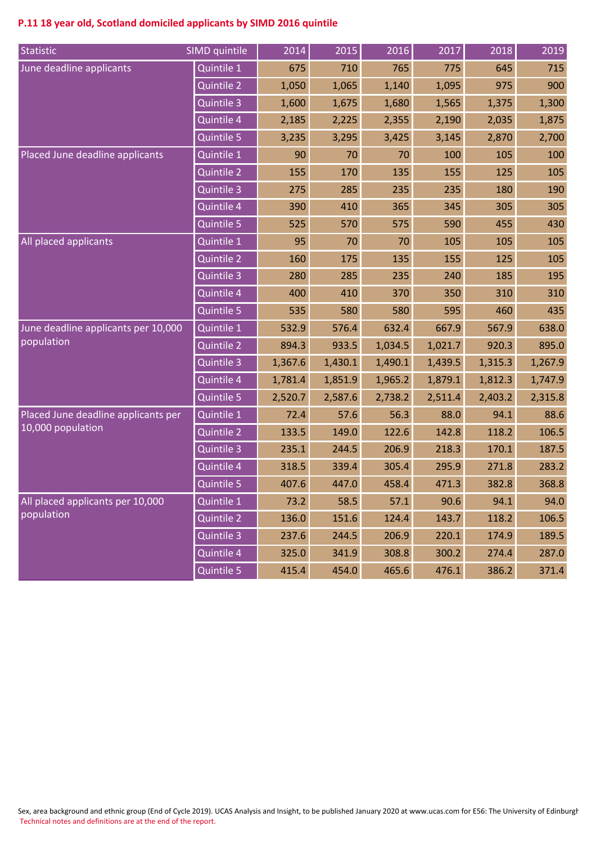# **P.11 18 year old, Scotland domiciled applicants by SIMD 2016 quintile**

| Statistic                           | SIMD quintile         | 2014    | 2015    | 2016    | 2017    | 2018    | 2019    |
|-------------------------------------|-----------------------|---------|---------|---------|---------|---------|---------|
| June deadline applicants            | Quintile 1            | 675     | 710     | 765     | 775     | 645     | 715     |
|                                     | <b>Quintile 2</b>     | 1,050   | 1,065   | 1,140   | 1,095   | 975     | 900     |
|                                     | Quintile 3            | 1,600   | 1,675   | 1,680   | 1,565   | 1,375   | 1,300   |
|                                     | Quintile 4            | 2,185   | 2,225   | 2,355   | 2,190   | 2,035   | 1,875   |
|                                     | Quintile 5            | 3,235   | 3,295   | 3,425   | 3,145   | 2,870   | 2,700   |
| Placed June deadline applicants     | Quintile 1            | 90      | 70      | 70      | 100     | 105     | 100     |
|                                     | Quintile 2            | 155     | 170     | 135     | 155     | 125     | 105     |
|                                     | Quintile 3            | 275     | 285     | 235     | 235     | 180     | 190     |
|                                     | Quintile 4            | 390     | 410     | 365     | 345     | 305     | 305     |
|                                     | Quintile 5            | 525     | 570     | 575     | 590     | 455     | 430     |
| All placed applicants               | Quintile 1            | 95      | 70      | 70      | 105     | 105     | 105     |
|                                     | Quintile 2            | 160     | 175     | 135     | 155     | 125     | 105     |
|                                     | Quintile 3            | 280     | 285     | 235     | 240     | 185     | 195     |
|                                     | Quintile 4            | 400     | 410     | 370     | 350     | 310     | 310     |
|                                     | Quintile 5            | 535     | 580     | 580     | 595     | 460     | 435     |
| June deadline applicants per 10,000 | Quintile 1            | 532.9   | 576.4   | 632.4   | 667.9   | 567.9   | 638.0   |
| population                          | Quintile 2            | 894.3   | 933.5   | 1,034.5 | 1,021.7 | 920.3   | 895.0   |
|                                     | Quintile 3            | 1,367.6 | 1,430.1 | 1,490.1 | 1,439.5 | 1,315.3 | 1,267.9 |
|                                     | Quintile 4            | 1,781.4 | 1,851.9 | 1,965.2 | 1,879.1 | 1,812.3 | 1,747.9 |
|                                     | Quintile 5            | 2,520.7 | 2,587.6 | 2,738.2 | 2,511.4 | 2,403.2 | 2,315.8 |
| Placed June deadline applicants per | Quintile 1            | 72.4    | 57.6    | 56.3    | 88.0    | 94.1    | 88.6    |
| 10,000 population                   | <b>Quintile 2</b>     | 133.5   | 149.0   | 122.6   | 142.8   | 118.2   | 106.5   |
|                                     | Quintile 3            | 235.1   | 244.5   | 206.9   | 218.3   | 170.1   | 187.5   |
|                                     | Quintile 4            | 318.5   | 339.4   | 305.4   | 295.9   | 271.8   | 283.2   |
|                                     | Quintile <sub>5</sub> | 407.6   | 447.0   | 458.4   | 471.3   | 382.8   | 368.8   |
| All placed applicants per 10,000    | Quintile 1            | 73.2    | 58.5    | 57.1    | 90.6    | 94.1    | 94.0    |
| population                          | Quintile 2            | 136.0   | 151.6   | 124.4   | 143.7   | 118.2   | 106.5   |
|                                     | Quintile 3            | 237.6   | 244.5   | 206.9   | 220.1   | 174.9   | 189.5   |
|                                     | Quintile 4            | 325.0   | 341.9   | 308.8   | 300.2   | 274.4   | 287.0   |
|                                     | Quintile 5            | 415.4   | 454.0   | 465.6   | 476.1   | 386.2   | 371.4   |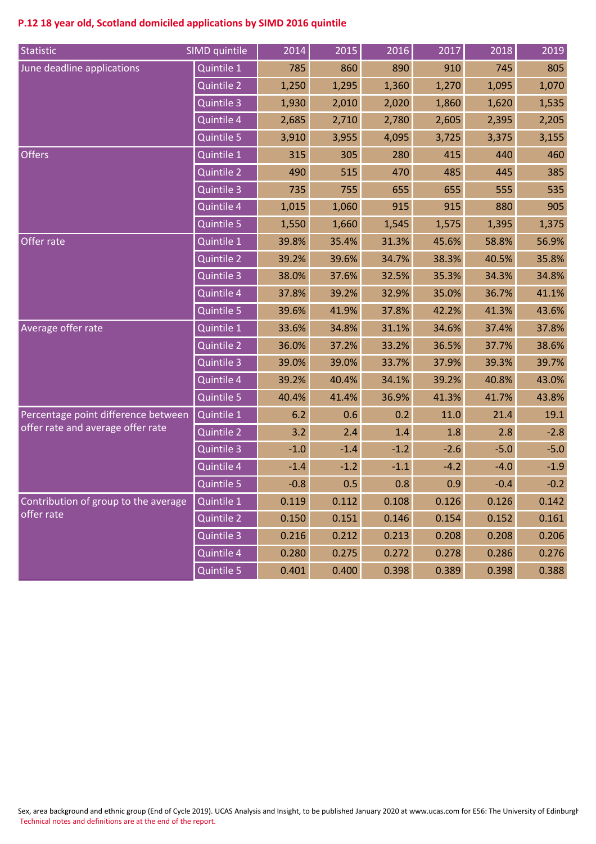# **P.12 18 year old, Scotland domiciled applications by SIMD 2016 quintile**

| Statistic                            | SIMD quintile     | 2014   | 2015   | 2016   | 2017   | 2018   | 2019   |
|--------------------------------------|-------------------|--------|--------|--------|--------|--------|--------|
| June deadline applications           | Quintile 1        | 785    | 860    | 890    | 910    | 745    | 805    |
|                                      | <b>Quintile 2</b> | 1,250  | 1,295  | 1,360  | 1,270  | 1,095  | 1,070  |
|                                      | Quintile 3        | 1,930  | 2,010  | 2,020  | 1,860  | 1,620  | 1,535  |
|                                      | Quintile 4        | 2,685  | 2,710  | 2,780  | 2,605  | 2,395  | 2,205  |
|                                      | Quintile 5        | 3,910  | 3,955  | 4,095  | 3,725  | 3,375  | 3,155  |
| <b>Offers</b>                        | Quintile 1        | 315    | 305    | 280    | 415    | 440    | 460    |
|                                      | Quintile 2        | 490    | 515    | 470    | 485    | 445    | 385    |
|                                      | Quintile 3        | 735    | 755    | 655    | 655    | 555    | 535    |
|                                      | Quintile 4        | 1,015  | 1,060  | 915    | 915    | 880    | 905    |
|                                      | Quintile 5        | 1,550  | 1,660  | 1,545  | 1,575  | 1,395  | 1,375  |
| Offer rate                           | Quintile 1        | 39.8%  | 35.4%  | 31.3%  | 45.6%  | 58.8%  | 56.9%  |
|                                      | Quintile 2        | 39.2%  | 39.6%  | 34.7%  | 38.3%  | 40.5%  | 35.8%  |
|                                      | Quintile 3        | 38.0%  | 37.6%  | 32.5%  | 35.3%  | 34.3%  | 34.8%  |
|                                      | Quintile 4        | 37.8%  | 39.2%  | 32.9%  | 35.0%  | 36.7%  | 41.1%  |
|                                      | Quintile 5        | 39.6%  | 41.9%  | 37.8%  | 42.2%  | 41.3%  | 43.6%  |
| Average offer rate                   | Quintile 1        | 33.6%  | 34.8%  | 31.1%  | 34.6%  | 37.4%  | 37.8%  |
|                                      | Quintile 2        | 36.0%  | 37.2%  | 33.2%  | 36.5%  | 37.7%  | 38.6%  |
|                                      | Quintile 3        | 39.0%  | 39.0%  | 33.7%  | 37.9%  | 39.3%  | 39.7%  |
|                                      | Quintile 4        | 39.2%  | 40.4%  | 34.1%  | 39.2%  | 40.8%  | 43.0%  |
|                                      | Quintile 5        | 40.4%  | 41.4%  | 36.9%  | 41.3%  | 41.7%  | 43.8%  |
| Percentage point difference between  | Quintile 1        | 6.2    | 0.6    | 0.2    | 11.0   | 21.4   | 19.1   |
| offer rate and average offer rate    | Quintile 2        | 3.2    | 2.4    | 1.4    | 1.8    | 2.8    | $-2.8$ |
|                                      | Quintile 3        | $-1.0$ | $-1.4$ | $-1.2$ | $-2.6$ | $-5.0$ | $-5.0$ |
|                                      | Quintile 4        | $-1.4$ | $-1.2$ | $-1.1$ | $-4.2$ | $-4.0$ | $-1.9$ |
|                                      | Quintile 5        | $-0.8$ | 0.5    | 0.8    | 0.9    | $-0.4$ | $-0.2$ |
| Contribution of group to the average | Quintile 1        | 0.119  | 0.112  | 0.108  | 0.126  | 0.126  | 0.142  |
| offer rate                           | Quintile 2        | 0.150  | 0.151  | 0.146  | 0.154  | 0.152  | 0.161  |
|                                      | Quintile 3        | 0.216  | 0.212  | 0.213  | 0.208  | 0.208  | 0.206  |
|                                      | Quintile 4        | 0.280  | 0.275  | 0.272  | 0.278  | 0.286  | 0.276  |
|                                      | Quintile 5        | 0.401  | 0.400  | 0.398  | 0.389  | 0.398  | 0.388  |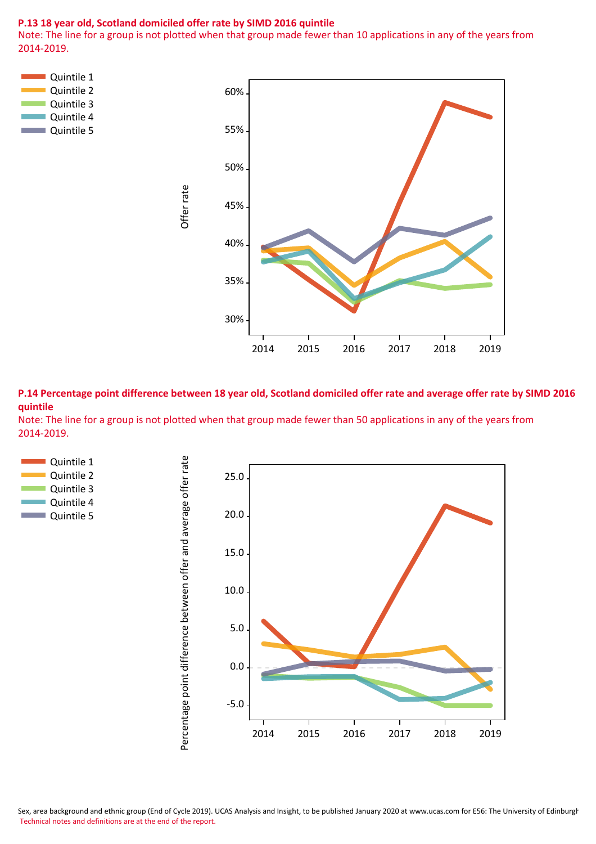#### **P.13 18 year old, Scotland domiciled offer rate by SIMD 2016 quintile**

Note: The line for a group is not plotted when that group made fewer than 10 applications in any of the years from 2014-2019.



**P.14 Percentage point difference between 18 year old, Scotland domiciled offer rate and average offer rate by SIMD 2016 quintile**

Note: The line for a group is not plotted when that group made fewer than 50 applications in any of the years from 2014-2019.



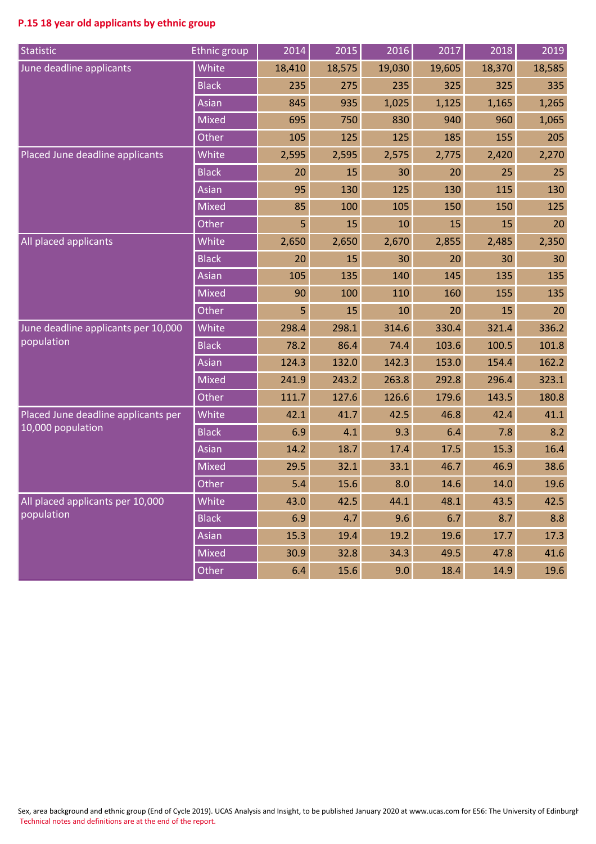# **P.15 18 year old applicants by ethnic group**

| Statistic                           | <b>Ethnic group</b> | 2014   | 2015   | 2016   | 2017   | 2018   | 2019   |
|-------------------------------------|---------------------|--------|--------|--------|--------|--------|--------|
| June deadline applicants            | White               | 18,410 | 18,575 | 19,030 | 19,605 | 18,370 | 18,585 |
|                                     | <b>Black</b>        | 235    | 275    | 235    | 325    | 325    | 335    |
|                                     | Asian               | 845    | 935    | 1,025  | 1,125  | 1,165  | 1,265  |
|                                     | <b>Mixed</b>        | 695    | 750    | 830    | 940    | 960    | 1,065  |
|                                     | Other               | 105    | 125    | 125    | 185    | 155    | 205    |
| Placed June deadline applicants     | White               | 2,595  | 2,595  | 2,575  | 2,775  | 2,420  | 2,270  |
|                                     | <b>Black</b>        | 20     | 15     | 30     | 20     | 25     | 25     |
|                                     | Asian               | 95     | 130    | 125    | 130    | 115    | 130    |
|                                     | <b>Mixed</b>        | 85     | 100    | 105    | 150    | 150    | 125    |
|                                     | Other               | 5      | 15     | 10     | 15     | 15     | 20     |
| All placed applicants               | White               | 2,650  | 2,650  | 2,670  | 2,855  | 2,485  | 2,350  |
|                                     | <b>Black</b>        | 20     | 15     | 30     | 20     | 30     | 30     |
|                                     | Asian               | 105    | 135    | 140    | 145    | 135    | 135    |
|                                     | <b>Mixed</b>        | 90     | 100    | 110    | 160    | 155    | 135    |
|                                     | Other               | 5      | 15     | 10     | 20     | 15     | 20     |
| June deadline applicants per 10,000 | White               | 298.4  | 298.1  | 314.6  | 330.4  | 321.4  | 336.2  |
| population                          | <b>Black</b>        | 78.2   | 86.4   | 74.4   | 103.6  | 100.5  | 101.8  |
|                                     | Asian               | 124.3  | 132.0  | 142.3  | 153.0  | 154.4  | 162.2  |
|                                     | <b>Mixed</b>        | 241.9  | 243.2  | 263.8  | 292.8  | 296.4  | 323.1  |
|                                     | Other               | 111.7  | 127.6  | 126.6  | 179.6  | 143.5  | 180.8  |
| Placed June deadline applicants per | White               | 42.1   | 41.7   | 42.5   | 46.8   | 42.4   | 41.1   |
| 10,000 population                   | <b>Black</b>        | 6.9    | 4.1    | 9.3    | 6.4    | 7.8    | 8.2    |
|                                     | Asian               | 14.2   | 18.7   | 17.4   | 17.5   | 15.3   | 16.4   |
|                                     | <b>Mixed</b>        | 29.5   | 32.1   | 33.1   | 46.7   | 46.9   | 38.6   |
|                                     | Other               | 5.4    | 15.6   | 8.0    | 14.6   | 14.0   | 19.6   |
| All placed applicants per 10,000    | White               | 43.0   | 42.5   | 44.1   | 48.1   | 43.5   | 42.5   |
| population                          | <b>Black</b>        | 6.9    | 4.7    | 9.6    | 6.7    | 8.7    | 8.8    |
|                                     | Asian               | 15.3   | 19.4   | 19.2   | 19.6   | 17.7   | 17.3   |
|                                     | <b>Mixed</b>        | 30.9   | 32.8   | 34.3   | 49.5   | 47.8   | 41.6   |
|                                     | Other               | 6.4    | 15.6   | 9.0    | 18.4   | 14.9   | 19.6   |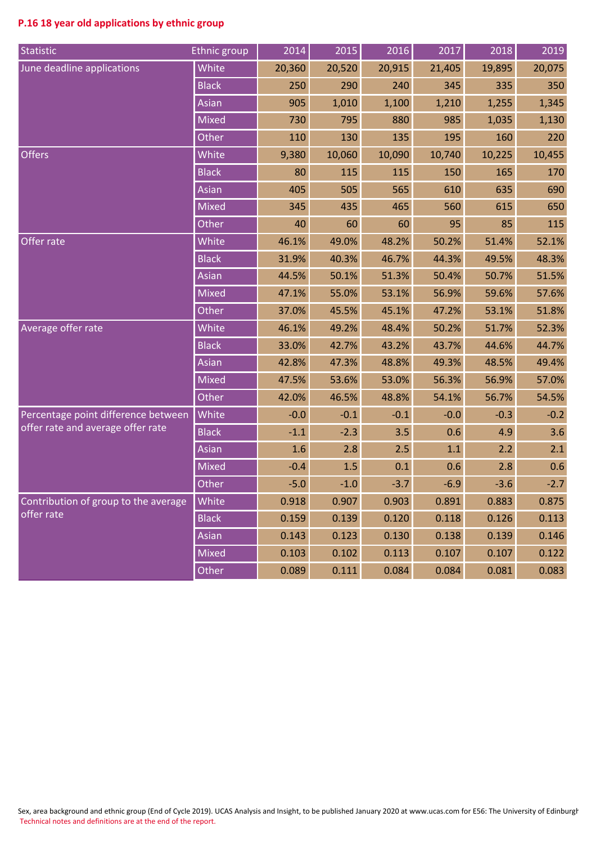# **P.16 18 year old applications by ethnic group**

| Statistic                            | Ethnic group | 2014   | 2015   | 2016   | 2017   | 2018   | 2019   |
|--------------------------------------|--------------|--------|--------|--------|--------|--------|--------|
| June deadline applications           | White        | 20,360 | 20,520 | 20,915 | 21,405 | 19,895 | 20,075 |
|                                      | <b>Black</b> | 250    | 290    | 240    | 345    | 335    | 350    |
|                                      | Asian        | 905    | 1,010  | 1,100  | 1,210  | 1,255  | 1,345  |
|                                      | <b>Mixed</b> | 730    | 795    | 880    | 985    | 1,035  | 1,130  |
|                                      | Other        | 110    | 130    | 135    | 195    | 160    | 220    |
| <b>Offers</b>                        | White        | 9,380  | 10,060 | 10,090 | 10,740 | 10,225 | 10,455 |
|                                      | <b>Black</b> | 80     | 115    | 115    | 150    | 165    | 170    |
|                                      | Asian        | 405    | 505    | 565    | 610    | 635    | 690    |
|                                      | <b>Mixed</b> | 345    | 435    | 465    | 560    | 615    | 650    |
|                                      | Other        | 40     | 60     | 60     | 95     | 85     | 115    |
| Offer rate                           | White        | 46.1%  | 49.0%  | 48.2%  | 50.2%  | 51.4%  | 52.1%  |
|                                      | <b>Black</b> | 31.9%  | 40.3%  | 46.7%  | 44.3%  | 49.5%  | 48.3%  |
|                                      | Asian        | 44.5%  | 50.1%  | 51.3%  | 50.4%  | 50.7%  | 51.5%  |
|                                      | <b>Mixed</b> | 47.1%  | 55.0%  | 53.1%  | 56.9%  | 59.6%  | 57.6%  |
|                                      | Other        | 37.0%  | 45.5%  | 45.1%  | 47.2%  | 53.1%  | 51.8%  |
| Average offer rate                   | White        | 46.1%  | 49.2%  | 48.4%  | 50.2%  | 51.7%  | 52.3%  |
|                                      | <b>Black</b> | 33.0%  | 42.7%  | 43.2%  | 43.7%  | 44.6%  | 44.7%  |
|                                      | Asian        | 42.8%  | 47.3%  | 48.8%  | 49.3%  | 48.5%  | 49.4%  |
|                                      | <b>Mixed</b> | 47.5%  | 53.6%  | 53.0%  | 56.3%  | 56.9%  | 57.0%  |
|                                      | <b>Other</b> | 42.0%  | 46.5%  | 48.8%  | 54.1%  | 56.7%  | 54.5%  |
| Percentage point difference between  | White        | $-0.0$ | $-0.1$ | $-0.1$ | $-0.0$ | $-0.3$ | $-0.2$ |
| offer rate and average offer rate    | <b>Black</b> | $-1.1$ | $-2.3$ | 3.5    | 0.6    | 4.9    | 3.6    |
|                                      | Asian        | 1.6    | 2.8    | 2.5    | 1.1    | 2.2    | 2.1    |
|                                      | <b>Mixed</b> | $-0.4$ | 1.5    | 0.1    | 0.6    | 2.8    | 0.6    |
|                                      | Other        | $-5.0$ | $-1.0$ | $-3.7$ | $-6.9$ | $-3.6$ | $-2.7$ |
| Contribution of group to the average | White        | 0.918  | 0.907  | 0.903  | 0.891  | 0.883  | 0.875  |
| offer rate                           | <b>Black</b> | 0.159  | 0.139  | 0.120  | 0.118  | 0.126  | 0.113  |
|                                      | Asian        | 0.143  | 0.123  | 0.130  | 0.138  | 0.139  | 0.146  |
|                                      | <b>Mixed</b> | 0.103  | 0.102  | 0.113  | 0.107  | 0.107  | 0.122  |
|                                      | Other        | 0.089  | 0.111  | 0.084  | 0.084  | 0.081  | 0.083  |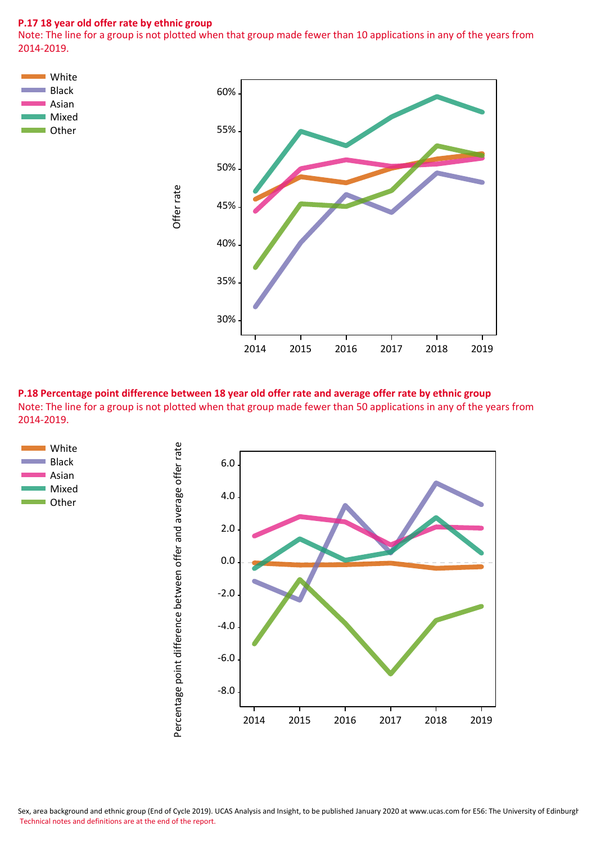#### **P.17 18 year old offer rate by ethnic group**

Note: The line for a group is not plotted when that group made fewer than 10 applications in any of the years from 2014-2019.



**P.18 Percentage point difference between 18 year old offer rate and average offer rate by ethnic group** Note: The line for a group is not plotted when that group made fewer than 50 applications in any of the years from 2014-2019.



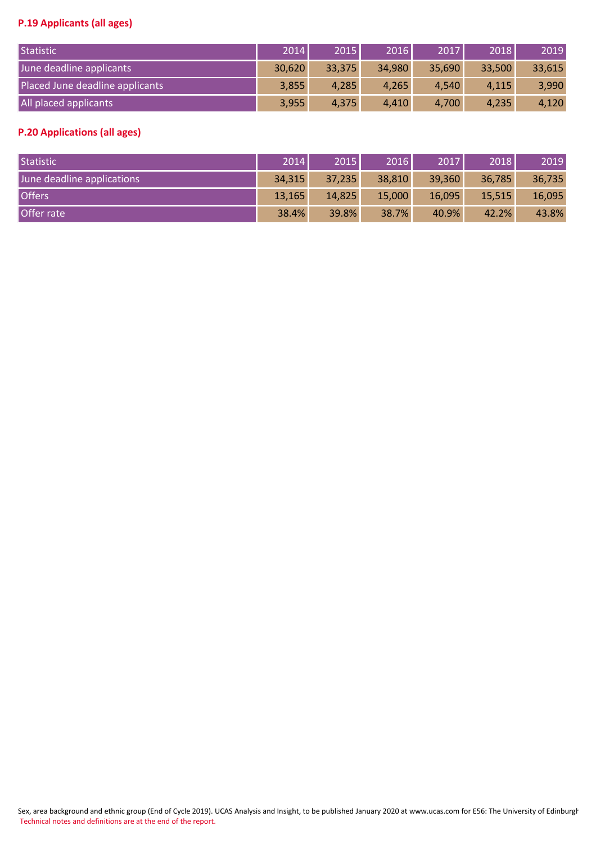# **P.19 Applicants (all ages)**

| Statistic                       | 2014   | 2015   | 2016   | 2017   | 2018   | 2019   |
|---------------------------------|--------|--------|--------|--------|--------|--------|
| June deadline applicants        | 30,620 | 33,375 | 34,980 | 35,690 | 33,500 | 33,615 |
| Placed June deadline applicants | 3,855  | 4,285  | 4,265  | 4,540  | 4,115  | 3,990  |
| All placed applicants           | 3,955  | 4,375  | 4,410  | 4,700  | 4,235  | 4,120  |

# **P.20 Applications (all ages)**

| Statistic                  | 2014   | 2015   | 2016   | 2017   | 2018   | 2019   |
|----------------------------|--------|--------|--------|--------|--------|--------|
| June deadline applications | 34,315 | 37,235 | 38,810 | 39,360 | 36,785 | 36,735 |
| <b>Offers</b>              | 13,165 | 14,825 | 15,000 | 16,095 | 15,515 | 16,095 |
| Offer rate                 | 38.4%  | 39.8%  | 38.7%  | 40.9%  | 42.2%  | 43.8%  |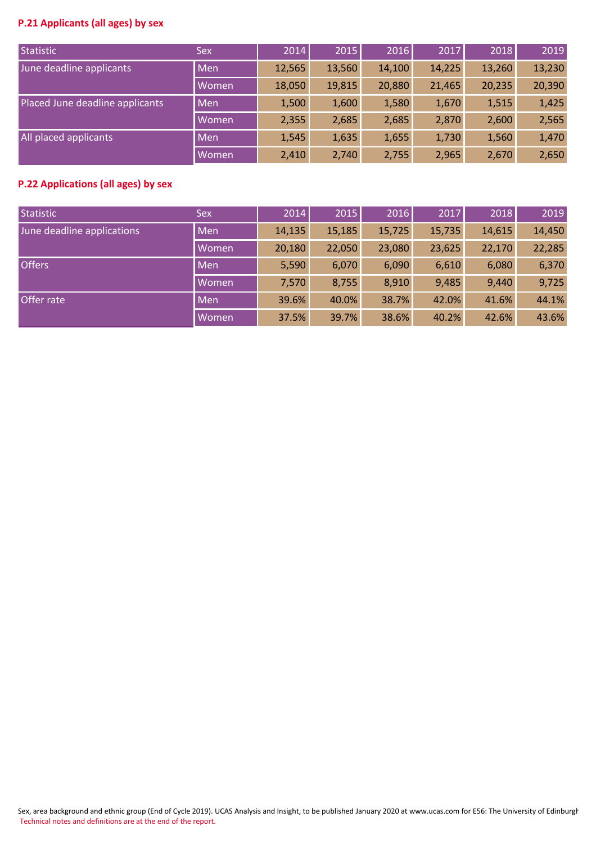# **P.21 Applicants (all ages) by sex**

| Statistic                       | <b>Sex</b> | 2014   | 2015   | 2016   | 2017   | 2018   | 2019   |
|---------------------------------|------------|--------|--------|--------|--------|--------|--------|
| June deadline applicants        | <b>Men</b> | 12,565 | 13,560 | 14,100 | 14,225 | 13,260 | 13,230 |
|                                 | Women      | 18,050 | 19,815 | 20,880 | 21,465 | 20,235 | 20,390 |
| Placed June deadline applicants | Men        | 1,500  | 1,600  | 1,580  | 1,670  | 1,515  | 1,425  |
|                                 | Women      | 2,355  | 2,685  | 2,685  | 2,870  | 2,600  | 2,565  |
| All placed applicants           | <b>Men</b> | 1,545  | 1,635  | 1,655  | 1,730  | 1,560  | 1,470  |
|                                 | Women      | 2,410  | 2,740  | 2,755  | 2,965  | 2,670  | 2,650  |

## **P.22 Applications (all ages) by sex**

| Statistic                  | <b>Sex</b> | 2014   | 2015   | 2016   | 2017   | 2018   | 2019   |
|----------------------------|------------|--------|--------|--------|--------|--------|--------|
| June deadline applications | Men        | 14,135 | 15,185 | 15,725 | 15,735 | 14,615 | 14,450 |
|                            | Women      | 20,180 | 22,050 | 23,080 | 23,625 | 22,170 | 22,285 |
| <b>Offers</b>              | Men        | 5,590  | 6,070  | 6,090  | 6,610  | 6,080  | 6,370  |
|                            | Women      | 7,570  | 8,755  | 8,910  | 9,485  | 9,440  | 9,725  |
| Offer rate                 | Men        | 39.6%  | 40.0%  | 38.7%  | 42.0%  | 41.6%  | 44.1%  |
|                            | Women      | 37.5%  | 39.7%  | 38.6%  | 40.2%  | 42.6%  | 43.6%  |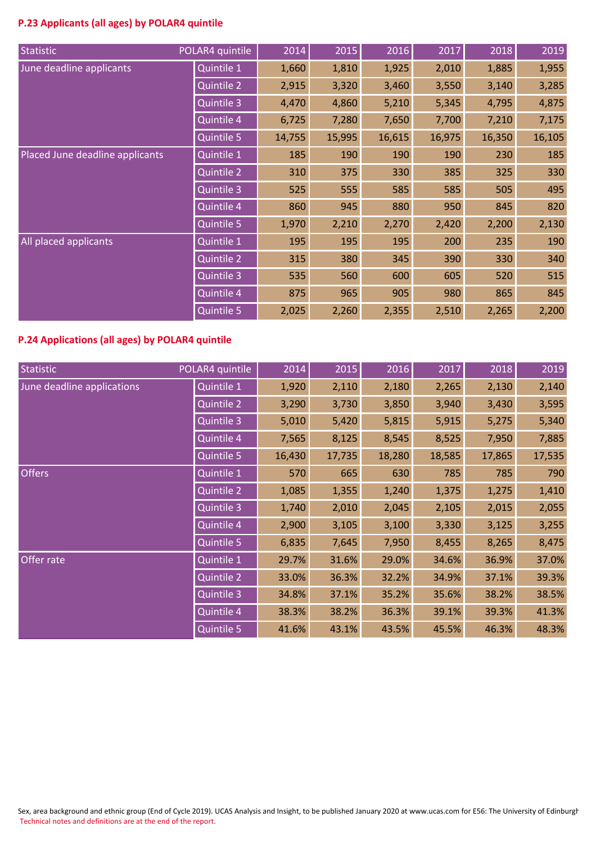# **P.23 Applicants (all ages) by POLAR4 quintile**

| Statistic                       | POLAR4 quintile   | 2014   | 2015   | 2016   | 2017   | 2018   | 2019   |
|---------------------------------|-------------------|--------|--------|--------|--------|--------|--------|
| June deadline applicants        | Quintile 1        | 1,660  | 1,810  | 1,925  | 2,010  | 1,885  | 1,955  |
|                                 | Quintile 2        | 2,915  | 3,320  | 3,460  | 3,550  | 3,140  | 3,285  |
|                                 | Quintile 3        | 4,470  | 4,860  | 5,210  | 5,345  | 4,795  | 4,875  |
|                                 | Quintile 4        | 6,725  | 7,280  | 7,650  | 7,700  | 7,210  | 7,175  |
|                                 | Quintile 5        | 14,755 | 15,995 | 16,615 | 16,975 | 16,350 | 16,105 |
| Placed June deadline applicants | Quintile 1        | 185    | 190    | 190    | 190    | 230    | 185    |
|                                 | <b>Quintile 2</b> | 310    | 375    | 330    | 385    | 325    | 330    |
|                                 | <b>Quintile 3</b> | 525    | 555    | 585    | 585    | 505    | 495    |
|                                 | Quintile 4        | 860    | 945    | 880    | 950    | 845    | 820    |
|                                 | Quintile 5        | 1,970  | 2,210  | 2,270  | 2,420  | 2,200  | 2,130  |
| All placed applicants           | Quintile 1        | 195    | 195    | 195    | 200    | 235    | 190    |
|                                 | Quintile 2        | 315    | 380    | 345    | 390    | 330    | 340    |
|                                 | Quintile 3        | 535    | 560    | 600    | 605    | 520    | 515    |
|                                 | Quintile 4        | 875    | 965    | 905    | 980    | 865    | 845    |
|                                 | Quintile 5        | 2,025  | 2,260  | 2,355  | 2,510  | 2,265  | 2,200  |

# **P.24 Applications (all ages) by POLAR4 quintile**

| Statistic                  | POLAR4 quintile   | 2014   | 2015   | 2016   | 2017   | 2018   | 2019   |
|----------------------------|-------------------|--------|--------|--------|--------|--------|--------|
| June deadline applications | Quintile 1        | 1,920  | 2,110  | 2,180  | 2,265  | 2,130  | 2,140  |
|                            | Quintile 2        | 3,290  | 3,730  | 3,850  | 3,940  | 3,430  | 3,595  |
|                            | Quintile 3        | 5,010  | 5,420  | 5,815  | 5,915  | 5,275  | 5,340  |
|                            | Quintile 4        | 7,565  | 8,125  | 8,545  | 8,525  | 7,950  | 7,885  |
|                            | Quintile 5        | 16,430 | 17,735 | 18,280 | 18,585 | 17,865 | 17,535 |
| <b>Offers</b>              | Quintile 1        | 570    | 665    | 630    | 785    | 785    | 790    |
|                            | Quintile 2        | 1,085  | 1,355  | 1,240  | 1,375  | 1,275  | 1,410  |
|                            | <b>Quintile 3</b> | 1,740  | 2,010  | 2,045  | 2,105  | 2,015  | 2,055  |
|                            | Quintile 4        | 2,900  | 3,105  | 3,100  | 3,330  | 3,125  | 3,255  |
|                            | Quintile 5        | 6,835  | 7,645  | 7,950  | 8,455  | 8,265  | 8,475  |
| Offer rate                 | Quintile 1        | 29.7%  | 31.6%  | 29.0%  | 34.6%  | 36.9%  | 37.0%  |
|                            | Quintile 2        | 33.0%  | 36.3%  | 32.2%  | 34.9%  | 37.1%  | 39.3%  |
|                            | Quintile 3        | 34.8%  | 37.1%  | 35.2%  | 35.6%  | 38.2%  | 38.5%  |
|                            | Quintile 4        | 38.3%  | 38.2%  | 36.3%  | 39.1%  | 39.3%  | 41.3%  |
|                            | Quintile 5        | 41.6%  | 43.1%  | 43.5%  | 45.5%  | 46.3%  | 48.3%  |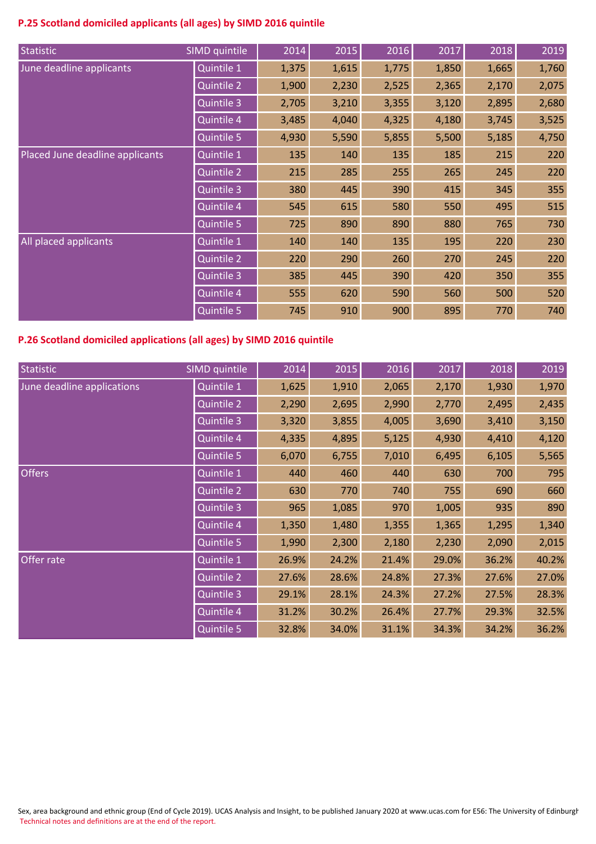# **P.25 Scotland domiciled applicants (all ages) by SIMD 2016 quintile**

| Statistic                       | SIMD quintile     | 2014  | 2015  | 2016  | 2017  | 2018  | 2019  |
|---------------------------------|-------------------|-------|-------|-------|-------|-------|-------|
| June deadline applicants        | Quintile 1        | 1,375 | 1,615 | 1,775 | 1,850 | 1,665 | 1,760 |
|                                 | <b>Quintile 2</b> | 1,900 | 2,230 | 2,525 | 2,365 | 2,170 | 2,075 |
|                                 | Quintile 3        | 2,705 | 3,210 | 3,355 | 3,120 | 2,895 | 2,680 |
|                                 | Quintile 4        | 3,485 | 4,040 | 4,325 | 4,180 | 3,745 | 3,525 |
|                                 | Quintile 5        | 4,930 | 5,590 | 5,855 | 5,500 | 5,185 | 4,750 |
| Placed June deadline applicants | Quintile 1        | 135   | 140   | 135   | 185   | 215   | 220   |
|                                 | Quintile 2        | 215   | 285   | 255   | 265   | 245   | 220   |
|                                 | <b>Quintile 3</b> | 380   | 445   | 390   | 415   | 345   | 355   |
|                                 | Quintile 4        | 545   | 615   | 580   | 550   | 495   | 515   |
|                                 | Quintile 5        | 725   | 890   | 890   | 880   | 765   | 730   |
| All placed applicants           | Quintile 1        | 140   | 140   | 135   | 195   | 220   | 230   |
|                                 | Quintile 2        | 220   | 290   | 260   | 270   | 245   | 220   |
|                                 | Quintile 3        | 385   | 445   | 390   | 420   | 350   | 355   |
|                                 | Quintile 4        | 555   | 620   | 590   | 560   | 500   | 520   |
|                                 | Quintile 5        | 745   | 910   | 900   | 895   | 770   | 740   |

# **P.26 Scotland domiciled applications (all ages) by SIMD 2016 quintile**

| Statistic                  | SIMD quintile     | 2014  | 2015  | 2016  | 2017  | 2018  | 2019  |
|----------------------------|-------------------|-------|-------|-------|-------|-------|-------|
| June deadline applications | Quintile 1        | 1,625 | 1,910 | 2,065 | 2,170 | 1,930 | 1,970 |
|                            | <b>Quintile 2</b> | 2,290 | 2,695 | 2,990 | 2,770 | 2,495 | 2,435 |
|                            | Quintile 3        | 3,320 | 3,855 | 4,005 | 3,690 | 3,410 | 3,150 |
|                            | Quintile 4        | 4,335 | 4,895 | 5,125 | 4,930 | 4,410 | 4,120 |
|                            | Quintile 5        | 6,070 | 6,755 | 7,010 | 6,495 | 6,105 | 5,565 |
| <b>Offers</b>              | Quintile 1        | 440   | 460   | 440   | 630   | 700   | 795   |
|                            | Quintile 2        | 630   | 770   | 740   | 755   | 690   | 660   |
|                            | <b>Quintile 3</b> | 965   | 1,085 | 970   | 1,005 | 935   | 890   |
|                            | Quintile 4        | 1,350 | 1,480 | 1,355 | 1,365 | 1,295 | 1,340 |
|                            | Quintile 5        | 1,990 | 2,300 | 2,180 | 2,230 | 2,090 | 2,015 |
| Offer rate                 | Quintile 1        | 26.9% | 24.2% | 21.4% | 29.0% | 36.2% | 40.2% |
|                            | Quintile 2        | 27.6% | 28.6% | 24.8% | 27.3% | 27.6% | 27.0% |
|                            | Quintile 3        | 29.1% | 28.1% | 24.3% | 27.2% | 27.5% | 28.3% |
|                            | Quintile 4        | 31.2% | 30.2% | 26.4% | 27.7% | 29.3% | 32.5% |
|                            | Quintile 5        | 32.8% | 34.0% | 31.1% | 34.3% | 34.2% | 36.2% |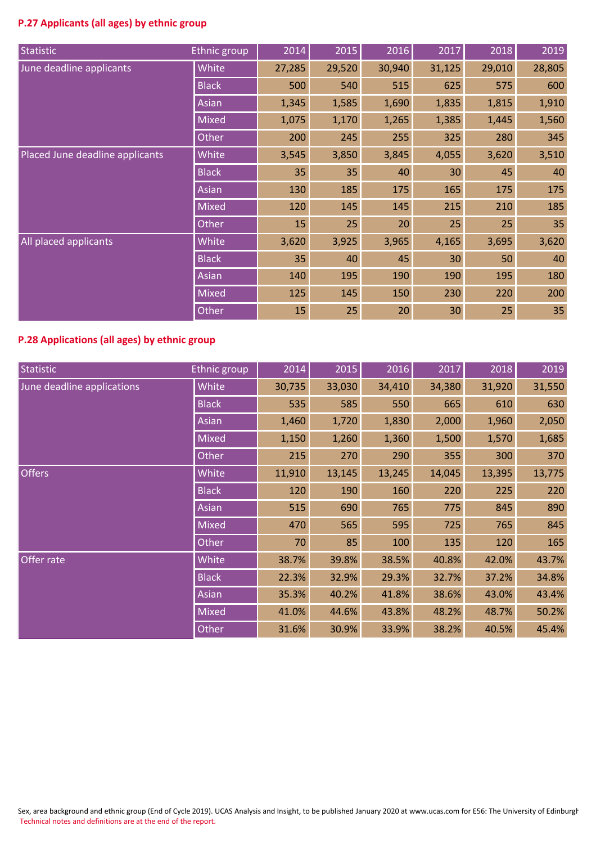# **P.27 Applicants (all ages) by ethnic group**

| Statistic                       | <b>Ethnic group</b> | 2014   | 2015   | 2016   | 2017            | 2018   | 2019   |
|---------------------------------|---------------------|--------|--------|--------|-----------------|--------|--------|
| June deadline applicants        | White               | 27,285 | 29,520 | 30,940 | 31,125          | 29,010 | 28,805 |
|                                 | <b>Black</b>        | 500    | 540    | 515    | 625             | 575    | 600    |
|                                 | Asian               | 1,345  | 1,585  | 1,690  | 1,835           | 1,815  | 1,910  |
|                                 | Mixed               | 1,075  | 1,170  | 1,265  | 1,385           | 1,445  | 1,560  |
|                                 | Other               | 200    | 245    | 255    | 325             | 280    | 345    |
| Placed June deadline applicants | White               | 3,545  | 3,850  | 3,845  | 4,055           | 3,620  | 3,510  |
|                                 | <b>Black</b>        | 35     | 35     | 40     | 30 <sup>°</sup> | 45     | 40     |
|                                 | Asian               | 130    | 185    | 175    | 165             | 175    | 175    |
|                                 | Mixed               | 120    | 145    | 145    | 215             | 210    | 185    |
|                                 | Other               | 15     | 25     | 20     | 25              | 25     | 35     |
| All placed applicants           | White               | 3,620  | 3,925  | 3,965  | 4,165           | 3,695  | 3,620  |
|                                 | <b>Black</b>        | 35     | 40     | 45     | 30              | 50     | 40     |
|                                 | Asian               | 140    | 195    | 190    | 190             | 195    | 180    |
|                                 | <b>Mixed</b>        | 125    | 145    | 150    | 230             | 220    | 200    |
|                                 | Other               | 15     | 25     | 20     | 30              | 25     | 35     |

# **P.28 Applications (all ages) by ethnic group**

| Statistic                  | Ethnic group | 2014   | 2015   | 2016   | 2017   | 2018   | 2019   |
|----------------------------|--------------|--------|--------|--------|--------|--------|--------|
| June deadline applications | White        | 30,735 | 33,030 | 34,410 | 34,380 | 31,920 | 31,550 |
|                            | <b>Black</b> | 535    | 585    | 550    | 665    | 610    | 630    |
|                            | Asian        | 1,460  | 1,720  | 1,830  | 2,000  | 1,960  | 2,050  |
|                            | <b>Mixed</b> | 1,150  | 1,260  | 1,360  | 1,500  | 1,570  | 1,685  |
|                            | Other        | 215    | 270    | 290    | 355    | 300    | 370    |
| <b>Offers</b>              | White        | 11,910 | 13,145 | 13,245 | 14,045 | 13,395 | 13,775 |
|                            | <b>Black</b> | 120    | 190    | 160    | 220    | 225    | 220    |
|                            | Asian        | 515    | 690    | 765    | 775    | 845    | 890    |
|                            | Mixed        | 470    | 565    | 595    | 725    | 765    | 845    |
|                            | Other        | 70     | 85     | 100    | 135    | 120    | 165    |
| Offer rate                 | White        | 38.7%  | 39.8%  | 38.5%  | 40.8%  | 42.0%  | 43.7%  |
|                            | <b>Black</b> | 22.3%  | 32.9%  | 29.3%  | 32.7%  | 37.2%  | 34.8%  |
|                            | Asian        | 35.3%  | 40.2%  | 41.8%  | 38.6%  | 43.0%  | 43.4%  |
|                            | <b>Mixed</b> | 41.0%  | 44.6%  | 43.8%  | 48.2%  | 48.7%  | 50.2%  |
|                            | Other        | 31.6%  | 30.9%  | 33.9%  | 38.2%  | 40.5%  | 45.4%  |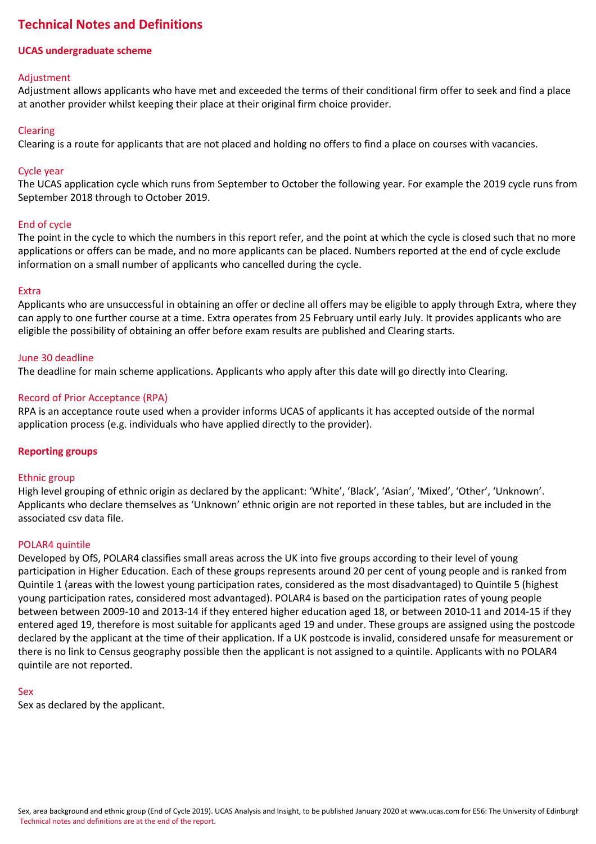# **Technical Notes and Definitions**

# **UCAS undergraduate scheme**

## Adjustment

Adjustment allows applicants who have met and exceeded the terms of their conditional firm offer to seek and find a place at another provider whilst keeping their place at their original firm choice provider.

## Clearing

Clearing is a route for applicants that are not placed and holding no offers to find a place on courses with vacancies.

## Cycle year

The UCAS application cycle which runs from September to October the following year. For example the 2019 cycle runs from September 2018 through to October 2019.

## End of cycle

The point in the cycle to which the numbers in this report refer, and the point at which the cycle is closed such that no more applications or offers can be made, and no more applicants can be placed. Numbers reported at the end of cycle exclude information on a small number of applicants who cancelled during the cycle.

## Extra

Applicants who are unsuccessful in obtaining an offer or decline all offers may be eligible to apply through Extra, where they can apply to one further course at a time. Extra operates from 25 February until early July. It provides applicants who are eligible the possibility of obtaining an offer before exam results are published and Clearing starts.

## June 30 deadline

The deadline for main scheme applications. Applicants who apply after this date will go directly into Clearing.

## Record of Prior Acceptance (RPA)

RPA is an acceptance route used when a provider informs UCAS of applicants it has accepted outside of the normal application process (e.g. individuals who have applied directly to the provider).

## **Reporting groups**

## Ethnic group

High level grouping of ethnic origin as declared by the applicant: 'White', 'Black', 'Asian', 'Mixed', 'Other', 'Unknown'. Applicants who declare themselves as 'Unknown' ethnic origin are not reported in these tables, but are included in the associated csv data file.

## POLAR4 quintile

Developed by OfS, POLAR4 classifies small areas across the UK into five groups according to their level of young participation in Higher Education. Each of these groups represents around 20 per cent of young people and is ranked from Quintile 1 (areas with the lowest young participation rates, considered as the most disadvantaged) to Quintile 5 (highest young participation rates, considered most advantaged). POLAR4 is based on the participation rates of young people between between 2009-10 and 2013-14 if they entered higher education aged 18, or between 2010-11 and 2014-15 if they entered aged 19, therefore is most suitable for applicants aged 19 and under. These groups are assigned using the postcode declared by the applicant at the time of their application. If a UK postcode is invalid, considered unsafe for measurement or there is no link to Census geography possible then the applicant is not assigned to a quintile. Applicants with no POLAR4 quintile are not reported.

## Sex

Sex as declared by the applicant.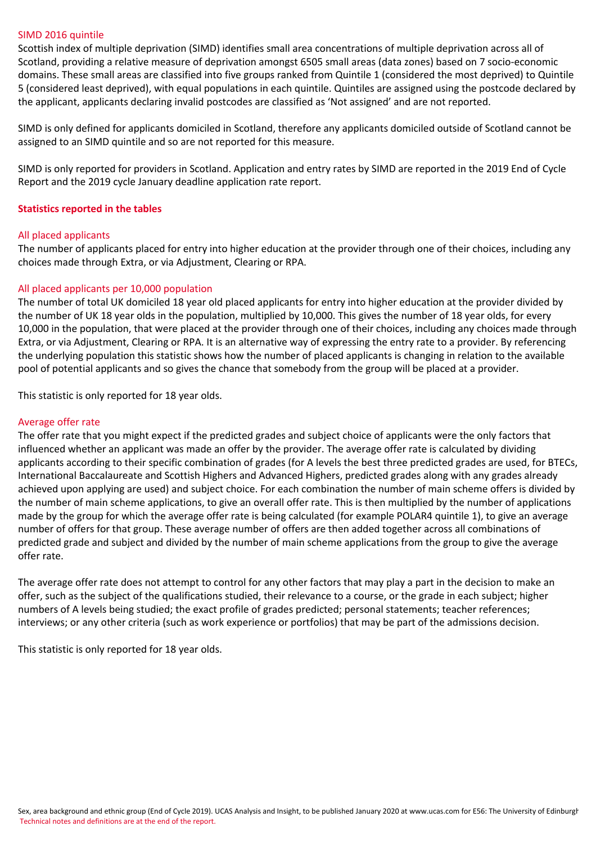#### SIMD 2016 quintile

Scottish index of multiple deprivation (SIMD) identifies small area concentrations of multiple deprivation across all of Scotland, providing a relative measure of deprivation amongst 6505 small areas (data zones) based on 7 socio-economic domains. These small areas are classified into five groups ranked from Quintile 1 (considered the most deprived) to Quintile 5 (considered least deprived), with equal populations in each quintile. Quintiles are assigned using the postcode declared by the applicant, applicants declaring invalid postcodes are classified as 'Not assigned' and are not reported.

SIMD is only defined for applicants domiciled in Scotland, therefore any applicants domiciled outside of Scotland cannot be assigned to an SIMD quintile and so are not reported for this measure.

SIMD is only reported for providers in Scotland. Application and entry rates by SIMD are reported in the 2019 End of Cycle Report and the 2019 cycle January deadline application rate report.

#### **Statistics reported in the tables**

#### All placed applicants

The number of applicants placed for entry into higher education at the provider through one of their choices, including any choices made through Extra, or via Adjustment, Clearing or RPA.

#### All placed applicants per 10,000 population

The number of total UK domiciled 18 year old placed applicants for entry into higher education at the provider divided by the number of UK 18 year olds in the population, multiplied by 10,000. This gives the number of 18 year olds, for every 10,000 in the population, that were placed at the provider through one of their choices, including any choices made through Extra, or via Adjustment, Clearing or RPA. It is an alternative way of expressing the entry rate to a provider. By referencing the underlying population this statistic shows how the number of placed applicants is changing in relation to the available pool of potential applicants and so gives the chance that somebody from the group will be placed at a provider.

This statistic is only reported for 18 year olds.

#### Average offer rate

The offer rate that you might expect if the predicted grades and subject choice of applicants were the only factors that influenced whether an applicant was made an offer by the provider. The average offer rate is calculated by dividing applicants according to their specific combination of grades (for A levels the best three predicted grades are used, for BTECs, International Baccalaureate and Scottish Highers and Advanced Highers, predicted grades along with any grades already achieved upon applying are used) and subject choice. For each combination the number of main scheme offers is divided by the number of main scheme applications, to give an overall offer rate. This is then multiplied by the number of applications made by the group for which the average offer rate is being calculated (for example POLAR4 quintile 1), to give an average number of offers for that group. These average number of offers are then added together across all combinations of predicted grade and subject and divided by the number of main scheme applications from the group to give the average offer rate.

The average offer rate does not attempt to control for any other factors that may play a part in the decision to make an offer, such as the subject of the qualifications studied, their relevance to a course, or the grade in each subject; higher numbers of A levels being studied; the exact profile of grades predicted; personal statements; teacher references; interviews; or any other criteria (such as work experience or portfolios) that may be part of the admissions decision.

This statistic is only reported for 18 year olds.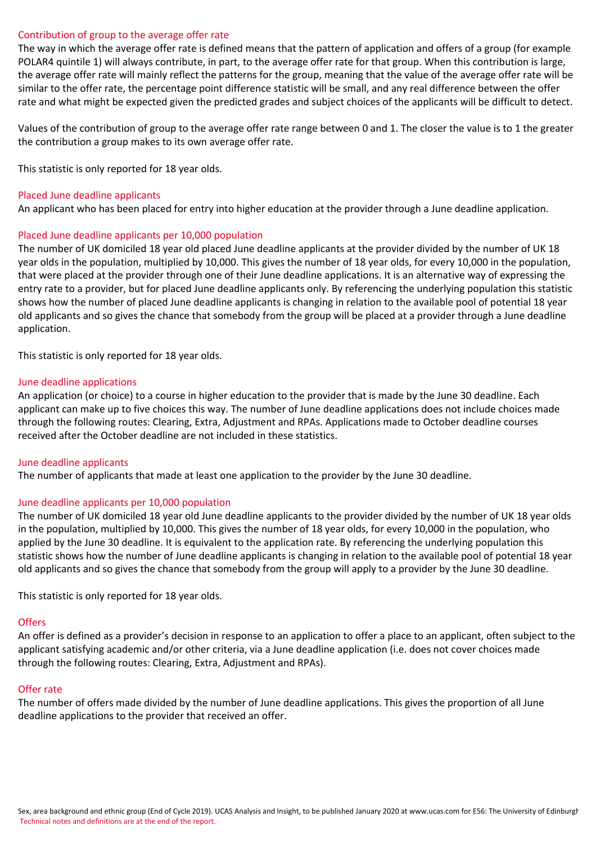#### Contribution of group to the average offer rate

The way in which the average offer rate is defined means that the pattern of application and offers of a group (for example POLAR4 quintile 1) will always contribute, in part, to the average offer rate for that group. When this contribution is large, the average offer rate will mainly reflect the patterns for the group, meaning that the value of the average offer rate will be similar to the offer rate, the percentage point difference statistic will be small, and any real difference between the offer rate and what might be expected given the predicted grades and subject choices of the applicants will be difficult to detect.

Values of the contribution of group to the average offer rate range between 0 and 1. The closer the value is to 1 the greater the contribution a group makes to its own average offer rate.

This statistic is only reported for 18 year olds.

#### Placed June deadline applicants

An applicant who has been placed for entry into higher education at the provider through a June deadline application.

#### Placed June deadline applicants per 10,000 population

The number of UK domiciled 18 year old placed June deadline applicants at the provider divided by the number of UK 18 year olds in the population, multiplied by 10,000. This gives the number of 18 year olds, for every 10,000 in the population, that were placed at the provider through one of their June deadline applications. It is an alternative way of expressing the entry rate to a provider, but for placed June deadline applicants only. By referencing the underlying population this statistic shows how the number of placed June deadline applicants is changing in relation to the available pool of potential 18 year old applicants and so gives the chance that somebody from the group will be placed at a provider through a June deadline application.

This statistic is only reported for 18 year olds.

#### June deadline applications

An application (or choice) to a course in higher education to the provider that is made by the June 30 deadline. Each applicant can make up to five choices this way. The number of June deadline applications does not include choices made through the following routes: Clearing, Extra, Adjustment and RPAs. Applications made to October deadline courses received after the October deadline are not included in these statistics.

#### June deadline applicants

The number of applicants that made at least one application to the provider by the June 30 deadline.

## June deadline applicants per 10,000 population

The number of UK domiciled 18 year old June deadline applicants to the provider divided by the number of UK 18 year olds in the population, multiplied by 10,000. This gives the number of 18 year olds, for every 10,000 in the population, who applied by the June 30 deadline. It is equivalent to the application rate. By referencing the underlying population this statistic shows how the number of June deadline applicants is changing in relation to the available pool of potential 18 year old applicants and so gives the chance that somebody from the group will apply to a provider by the June 30 deadline.

This statistic is only reported for 18 year olds.

#### **Offers**

An offer is defined as a provider's decision in response to an application to offer a place to an applicant, often subject to the applicant satisfying academic and/or other criteria, via a June deadline application (i.e. does not cover choices made through the following routes: Clearing, Extra, Adjustment and RPAs).

## Offer rate

The number of offers made divided by the number of June deadline applications. This gives the proportion of all June deadline applications to the provider that received an offer.